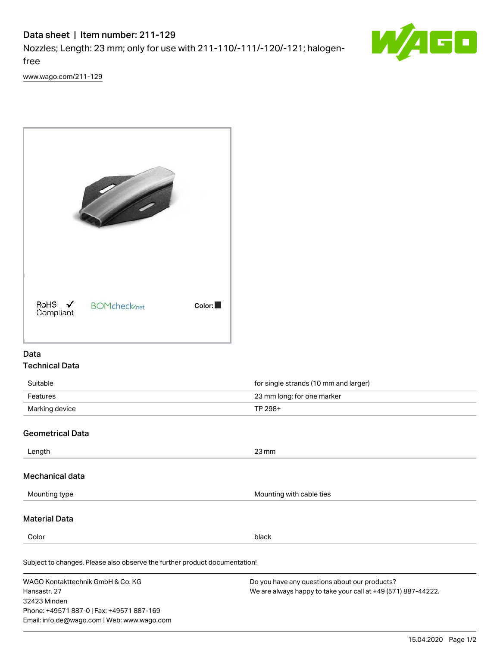# Data sheet | Item number: 211-129

Nozzles; Length: 23 mm; only for use with 211-110/-111/-120/-121; halogenfree



[www.wago.com/211-129](http://www.wago.com/211-129)



### Data Technical Data

| Suitable       | for single strands (10 mm and larger) |
|----------------|---------------------------------------|
| Features       | 23 mm long; for one marker            |
| Marking device | TP 298+                               |

### Geometrical Data

32423 Minden

Phone: +49571 887-0 | Fax: +49571 887-169 Email: info.de@wago.com | Web: www.wago.com

| $23 \,\mathrm{mm}$                                                                                             |
|----------------------------------------------------------------------------------------------------------------|
|                                                                                                                |
| Mounting with cable ties                                                                                       |
|                                                                                                                |
| black                                                                                                          |
| Subject to changes. Please also observe the further product documentation!                                     |
| Do you have any questions about our products?<br>We are always happy to take your call at +49 (571) 887-44222. |
|                                                                                                                |